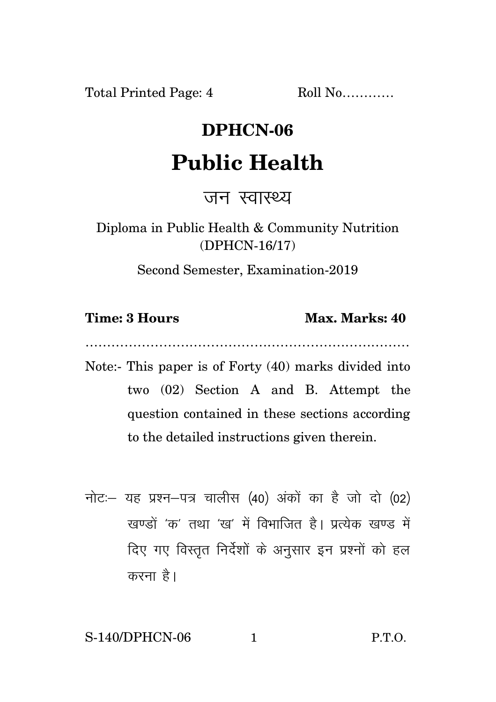Total Printed Page: 4 Roll No...........

## **DPHCN-06**

## **Public Health**

जन स्वास्थ्य

Diploma in Public Health & Community Nutrition (DPHCN-16/17)

Second Semester, Examination-2019

**Time: 3 Hours Max. Marks: 40** 

…………………………………………………………………

- Note:- This paper is of Forty (40) marks divided into two (02) Section A and B. Attempt the question contained in these sections according to the detailed instructions given therein.
- नोट: यह प्रश्न-पत्र चालीस (40) अंकों का है जो दो (02) खण्डों 'क' तथा 'ख' में विभाजित है। प्रत्येक खण्ड में दिए गए विस्तुत निर्देशों के अनुसार इन प्रश्नों को हल करना है।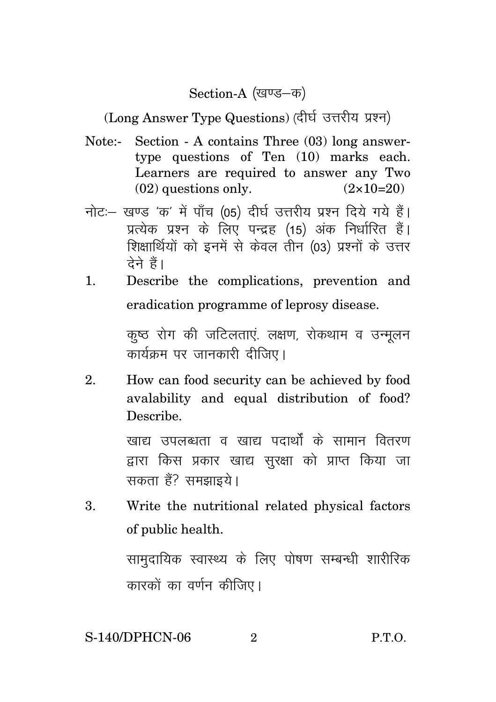Section-A (खण्ड-क)

(Long Answer Type Questions) (दीर्घ उत्तरीय प्रश्न)

- Note:- Section A contains Three (03) long answertype questions of Ten (10) marks each. Learners are required to answer any Two  $(02)$  questions only.  $(2 \times 10=20)$
- नोट: खण्ड 'क' में पाँच (05) दीर्घ उत्तरीय प्रश्न दिये गये हैं। प्रत्येक प्रश्न के लिए पन्द्रह (15) अंक निर्धारित हैं। शिक्षार्थियों को इनमें से केवल तीन (03) प्रश्नों के उत्तर देने हैं।
- 1. Describe the complications, prevention and eradication programme of leprosy disease.

कृष्ठ रोग की जटिलताएं. लक्षण, रोकथाम व उन्मुलन कार्यक्रम पर जानकारी दीजिए।

2. How can food security can be achieved by food avalability and equal distribution of food? Describe.

> खाद्य उपलब्धता व खाद्य पदार्थों के सामान वितरण द्वारा किस प्रकार खाद्य सुरक्षा को प्राप्त किया जा सकता हैं? समझाइये।

3. Write the nutritional related physical factors of public health.

> सामदायिक स्वास्थ्य के लिए पोषण सम्बन्धी शारीरिक कारकों का वर्णन कीजिए।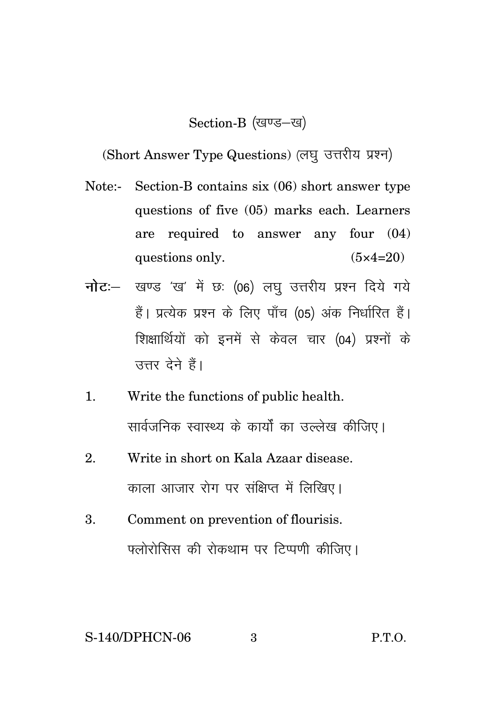## Section-B (खण्ड-ख)

(Short Answer Type Questions) (लघु उत्तरीय प्रश्न)

- Note:- Section-B contains six (06) short answer type questions of five (05) marks each. Learners are required to answer any four (04) questions only.  $(5 \times 4=20)$
- **नोट**: खण्ड 'ख' में छः (06) लघु उत्तरीय प्रश्न दिये गये हैं। प्रत्येक प्रश्न के लिए पाँच (05) अंक निर्धारित हैं। शिक्षार्थियों को इनमें से केवल चार (04) प्रश्नों के उत्तर देने हैं।
- 1. Write the functions of public health. सार्वजनिक स्वास्थ्य के कार्यों का उल्लेख कीजिए।
- 2. Write in short on Kala Azaar disease. काला आजार रोग पर संक्षिप्त में लिखिए।
- 3. Comment on prevention of flourisis. फ्लोरोसिस की रोकथाम पर टिप्पणी कीजिए।

## S-140/DPHCN-06 3 P.T.O.